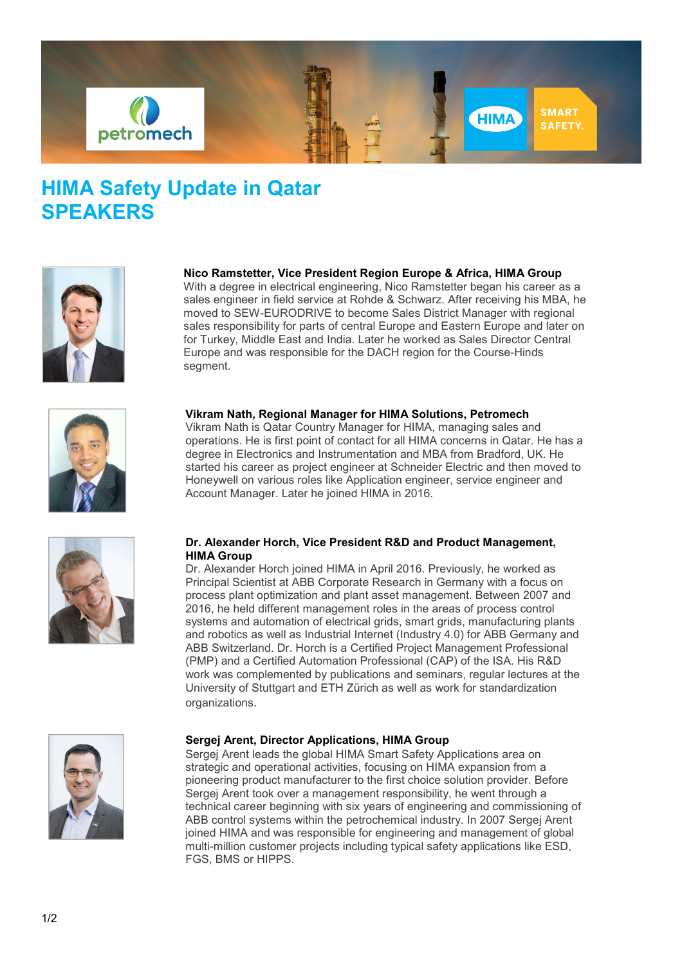

# **HIMA Safety Update in Qatar SPEAKERS**



**Nico Ramstetter, Vice President Region Europe & Africa, HIMA Group**

With a degree in electrical engineering. Nico Ramstetter began his career as a sales engineer in field service at Rohde & Schwarz. After receiving his MBA, he moved to SEW-EURODRIVE to become Sales District Manager with regional sales responsibility for parts of central Europe and Eastern Europe and later on for Turkey, Middle East and India. Later he worked as Sales Director Central Europe and was responsible for the DACH region for the Course-Hinds segment.



## **Vikram Nath, Regional Manager for HIMA Solutions, Petromech**

Vikram Nath is Qatar Country Manager for HIMA, managing sales and operations. He is first point of contact for all HIMA concerns in Qatar. He has a degree in Electronics and Instrumentation and MBA from Bradford, UK. He started his career as project engineer at Schneider Electric and then moved to Honeywell on various roles like Application engineer, service engineer and Account Manager. Later he joined HIMA in 2016.



## **Dr. Alexander Horch, Vice President R&D and Product Management, HIMA Group**

Dr. Alexander Horch joined HIMA in April 2016. Previously, he worked as Principal Scientist at ABB Corporate Research in Germany with a focus on process plant optimization and plant asset management. Between 2007 and 2016, he held different management roles in the areas of process control systems and automation of electrical grids, smart grids, manufacturing plants and robotics as well as Industrial Internet (Industry 4.0) for ABB Germany and ABB Switzerland. Dr. Horch is a Certified Project Management Professional (PMP) and a Certified Automation Professional (CAP) of the ISA. His R&D work was complemented by publications and seminars, regular lectures at the University of Stuttgart and ETH Zürich as well as work for standardization organizations.



### **Sergej Arent, Director Applications, HIMA Group**

Sergej Arent leads the global HIMA Smart Safety Applications area on strategic and operational activities, focusing on HIMA expansion from a pioneering product manufacturer to the first choice solution provider. Before Sergej Arent took over a management responsibility, he went through a technical career beginning with six years of engineering and commissioning of ABB control systems within the petrochemical industry. In 2007 Sergej Arent joined HIMA and was responsible for engineering and management of global multi-million customer projects including typical safety applications like ESD, FGS, BMS or HIPPS.